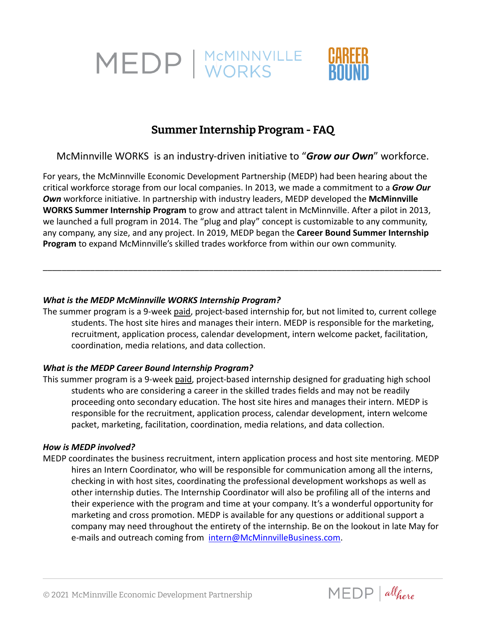

# **Summer Internship Program - FAQ**

## McMinnville WORKS is an industry-driven initiative to "*Grow our Own*" workforce.

For years, the McMinnville Economic Development Partnership (MEDP) had been hearing about the critical workforce storage from our local companies. In 2013, we made a commitment to a *Grow Our Own* workforce initiative. In partnership with industry leaders, MEDP developed the **McMinnville WORKS Summer Internship Program** to grow and attract talent in McMinnville. After a pilot in 2013, we launched a full program in 2014. The "plug and play" concept is customizable to any community, any company, any size, and any project. In 2019, MEDP began the **Career Bound Summer Internship Program** to expand McMinnville's skilled trades workforce from within our own community.

## *What is the MEDP McMinnville WORKS Internship Program?*

The summer program is a 9-week paid, project-based internship for, but not limited to, current college students. The host site hires and manages their intern. MEDP is responsible for the marketing, recruitment, application process, calendar development, intern welcome packet, facilitation, coordination, media relations, and data collection.

\_\_\_\_\_\_\_\_\_\_\_\_\_\_\_\_\_\_\_\_\_\_\_\_\_\_\_\_\_\_\_\_\_\_\_\_\_\_\_\_\_\_\_\_\_\_\_\_\_\_\_\_\_\_\_\_\_\_\_\_\_\_\_\_\_\_\_\_\_\_\_\_\_\_\_\_\_\_\_\_\_\_\_\_

## *What is the MEDP Career Bound Internship Program?*

This summer program is a 9-week paid, project-based internship designed for graduating high school students who are considering a career in the skilled trades fields and may not be readily proceeding onto secondary education. The host site hires and manages their intern. MEDP is responsible for the recruitment, application process, calendar development, intern welcome packet, marketing, facilitation, coordination, media relations, and data collection.

## *How is MEDP involved?*

MEDP coordinates the business recruitment, intern application process and host site mentoring. MEDP hires an Intern Coordinator, who will be responsible for communication among all the interns, checking in with host sites, coordinating the professional development workshops as well as other internship duties. The Internship Coordinator will also be profiling all of the interns and their experience with the program and time at your company. It's a wonderful opportunity for marketing and cross promotion. MEDP is available for any questions or additional support a company may need throughout the entirety of the internship. Be on the lookout in late May for e-mails and outreach coming from [intern@McMinnvilleBusiness.com](mailto:intern@McMinnvilleBusiness.com).

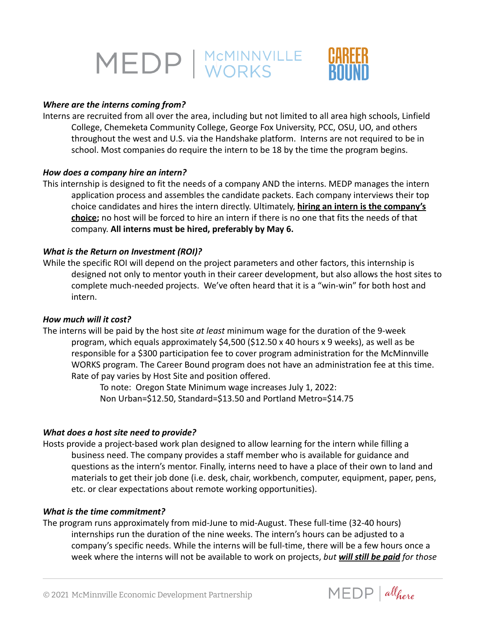

#### *Where are the interns coming from?*

Interns are recruited from all over the area, including but not limited to all area high schools, Linfield College, Chemeketa Community College, George Fox University, PCC, OSU, UO, and others throughout the west and U.S. via the Handshake platform. Interns are not required to be in school. Most companies do require the intern to be 18 by the time the program begins.

#### *How does a company hire an intern?*

This internship is designed to fit the needs of a company AND the interns. MEDP manages the intern application process and assembles the candidate packets. Each company interviews their top choice candidates and hires the intern directly. Ultimately, **hiring an intern is the company's choice;** no host will be forced to hire an intern if there is no one that fits the needs of that company. **All interns must be hired, preferably by May 6.**

#### *What is the Return on Investment (ROI)?*

While the specific ROI will depend on the project parameters and other factors, this internship is designed not only to mentor youth in their career development, but also allows the host sites to complete much-needed projects. We've often heard that it is a "win-win" for both host and intern.

#### *How much will it cost?*

The interns will be paid by the host site *at least* minimum wage for the duration of the 9-week program, which equals approximately \$4,500 (\$12.50 x 40 hours x 9 weeks), as well as be responsible for a \$300 participation fee to cover program administration for the McMinnville WORKS program. The Career Bound program does not have an administration fee at this time. Rate of pay varies by Host Site and position offered.

To note: Oregon State Minimum wage increases July 1, 2022: Non Urban=\$12.50, Standard=\$13.50 and Portland Metro=\$14.75

#### *What does a host site need to provide?*

Hosts provide a project-based work plan designed to allow learning for the intern while filling a business need. The company provides a staff member who is available for guidance and questions as the intern's mentor. Finally, interns need to have a place of their own to land and materials to get their job done (i.e. desk, chair, workbench, computer, equipment, paper, pens, etc. or clear expectations about remote working opportunities).

#### *What is the time commitment?*

The program runs approximately from mid-June to mid-August. These full-time (32-40 hours) internships run the duration of the nine weeks. The intern's hours can be adjusted to a company's specific needs. While the interns will be full-time, there will be a few hours once a week where the interns will not be available to work on projects, *but will still be paid for those*